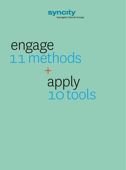

# engage 11 methods + apply 10 tools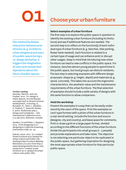## OI choose your urban furniture

#### **Select examples of urban furniture**

The first step is to explore the public space in question to identify the existing urban furniture (including its limitations) and see if additional features are needed. The second step is to reflect on the function(s) of each individual type of urban furniture (e. g. benches, bike parking, flower beds needed). Each function is related to a certain type of usage and can enhance and / or disrupt other usages. Keep in mind that introducing new urban furniture can lead to new conflicts in the public space. For instance, benches attract young people to spend time in the public space, but loud groups can disturb residents. The last step is selecting examples with different design proposals: shape (e. g. height, depth) and materials (e. g. wood, concrete). This takes into account the ergonomic characteristics, the aesthetic value and the maintenance requirements of the urban furniture. The final selection of examples should include a wide variety of designs with the same function to allow comparison.

#### **Hold the workshop**

Present the examples in a way that can be easily understood by the users of the space. Print the examples on card-type formats with a photo of the urban furniture in a real-world setting. Include the function and source (designer, city and country), and leave space for comments. Print or draw a grid on a large paper format, divided according to the different functions of the urban furniture. Divide the participants into small groups (1 – 3 people) and provide explanations and take notes. The objective is not selecting one particular object to be replicated in the public space, but gathering inspiration for designing the most appropriate urban furniture for that particular public space.

This method facilitates interaction between practitioners (e. g. architects, urban designers) and users of a public space during a co-design workshop. It triggers the imagination of users and reveals their aspirations about the future of public spaces.

#### Further reading:

Sanches, Maria G. and Lois Frankel. 2010. 'Co-design in Public Spaces: An Interdisciplinary Approach to Street Furniture Development', in Durling, D., Bousbaci, R., Chen, L, Gauthier, P., Poldma, T., Roworth-Stokes, S. and E. Stolterman (eds.), *Design and Complexity — DRS International Conference 2010, 7-9 July 2010, Montreal, Canada.*

\* Sanders, Liz and Pieter J. Stappers. 2014. 'From Designing to Codesigning to Collective Dreaming. *Interactions* 21(6): 24 – 33. \*

Sobral, Laura. 2013. 'Co-created Street Furniture as a Catalyst for Urban Culture and Public Life'. Hacking Urban Furniture Website. Retrieved 7 / 02 2021 from http:// www.hackingurbanfurniture.net/ research/co-created-street furniture-as-a-catalyst-forurbanculture-and-public-life/.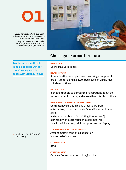*Cards with urban furniture from all over the world inspire passers– by to leave comments on their own wishes during a Syncity co-design workshop on Rue Dr De Meersman, Cureghem 2020.*



### Choose your urban furniture

An interactive method to imagine possible ways of transforming a public space with urban furniture.

### **Who is it for**

Users of a public space

#### **How does it work**

It provides the participants with inspiring examples of urban furniture and facilitates a discussion on the most suitable solutions.

#### **Why, what for**

It enables people to express their aspirations about the future of a public space, and makes them visible to others.

#### **Who can do it and what do you need for it**

Competences: skills in using a layout program (alternatively, it can be done in OpenOffice), facilitation skills.

Materials: cardboard for printing the cards (A6), a printed grid to categorise the examples (A0), pencils, sticky notes, a rigid support used as display.

#### **At what phase in a planning process**

After completing the site diagnostic / in the co-design phase

#### **Estimated budget**

€ 150

#### **syncity Contact**

Catalina Dobre, catalina.dobre@ulb.be

► Handbook, Part II, Phase 2B and Phase 3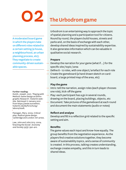A moderated board game in which the players take on different roles related to a certain setting (a house, a neighbourhood, an urban planning process, etc). They negotiate to create community-driven sustainable spaces.

#### Further reading:

Dumit, Joseph. 2021. 'Playing with Method: Game Design as Ethnographic Research'. Huberlin website. Retrieved 17 January 2021 from https://www.euroethno. huberlin.de/de/forschung/ labore/stadt. \*

Flanagan, Mary. 2009. *Critical play: Radical game design.* Cambridge and London: MIT press.

\* Law, John and John Urry. 2004. 'Enacting the Social'. *Economy and Society* 33(3): 390-410.

## 02 The Urbodrom game

Urbodrom is an entertaining way to approach the topic of spatial planning and a participation tool for citizens. Round by round, the players build houses, streets and parks and, on the basis of exchange with each other, develop shared ideas inspired by sustainability expertise. It also generates information which can be valuable in qualitative social research.

#### **Prepare**

- Develop the narration for your game (what if ...) for the specific site / topic / area
- Define 8 – 12 roles, with one object / artefact for each role
- Create the gameboard (a hand drawn sketch on cardboard, a large printed map of the area, etc)

#### **Play the game**

- Intro: tell the narration, assign roles (each player chooses one role), kick-off the game
- Play: each participant has a go in several rounds, drawing on the board, placing buildings, objects, etc
- Document: Take pictures of the gameboard at each round and document the main statements (audio or notes)

#### **Reflect and analyse**

Develop and fill in a reflection grid related to the specific setting and aim.

#### **Benefits**

The game values each input and know-how equally. The group benefits from the negotiation experience. As the players find creative solutions together, they become aware of sustainability topics, and a sense of community is created. In this process, talking creates understanding, exchange creates empathy, and this in turn leads to shared ideas.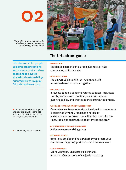*Playing the Urbodrom game with dwellers from Franz-Novy-Hof in Ottakring, Vienna, 2020.*



### The Urbodrom game

### **Who is it for**

Residents, users of a site, urban planners, private companies, politicians etc

#### **How does it work**

The players slip into different roles and build a sustainable urban space together.

#### **Why, what for**

It reveals people's concerns related to space, facilitates the players' access to political, social and spatial planning topics, and creates a sense of urban commons.

#### **Who can do it and what Do you need for it**

Competences: two moderators, ideally with competence in sustainability and urban planning issues Materials: a game board, modelling clay, props for the roles, table and chairs, thick pens to write and draw

#### **At what phase in a planning process**

In the awareness-raising phase

#### **Estimated budget**

€ 150 – € 1000, depending on whether you create your own version or get support from the Urbodrom team

#### **syncity Contact**

Laura Lohmann, Charlotte Fleischmann, urbodrom@gmail.com, office@oikodrom.org

Urbodrom enables people to express their opinions and wishes about an urban space and to develop shared and sustainabilityoriented visions in a playful and creative setting.

 $\blacktriangleright$  For more details on the game and how to play, check the USB stick or scan the QR code on the last page of the handbook.

► Handbook, Part II, Phase 2A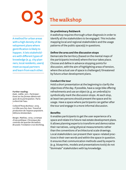A method for urban areas with a high density of development plans where gentrification is likely to happen. It lets stakeholders with different types of knowledge (e. g. city planners, local residents, users) meet as equal partners and learn from each other.

#### Further reading:

Zask, Joëlle. 2011. *Participer: Essai sur les formes démocratiques de la participation*. Paris: Le Bord de l'eau.

\* Collectif Rosa Bonheur. 2019. *La Ville vue d'en-bas: Travail et production de l'espace populaire*. Editions Amsterdam.

\* Berger, Mathieu. 2019. *Le temps d'une politique: Chronique des contrats de quartier Bruxellois. Brussels:* Fondation CIVA Stichting.

## The walkshop

#### **Do preliminary fieldwork**

A walkshop requires thorough urban diagnosis in order to identify all the stakeholders to be engaged. This includes mapping local and regional stakeholders and the usage patterns of the public space(s) in questions.

#### **Define the area and the discussion stops**

Demarcate the territory (based on the mental maps of the participants involved) where the tour takes place. Choose and define in advance stopping points for discussion, with the aim of highlighting areas of tension, where the actual use of space is challenged / threatened by future urban development plans.

#### **Conduct the tour**

Hold a short presentation at the beginning to clarify the objectives of the day. If possible, have a cargo bike offering refreshments and use an object (e. g. an umbrella) to symbolically mark the discussion stops. At each stop, at least two persons should present the space and its usage. Have a space where participants can gather after the tour and engage in a more informal discussion.

#### **Benefits**

It enables participants to get the user experience of a space and relate it to future real estate development plans. It allows planning experts to transform and democratise their narratives, using physical measurements rather than the conventions of architectural scale drawings. Local stakeholders can present their space-related practices in their own words and within the space in question. It ensures that communication methods used by experts (e. g. blueprints, models and presentations tools) do not "dominate" stakeholders with lay knowledge.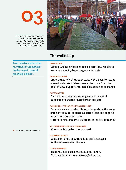*Presenting a community kitchen to urban planners and other stakeholders during a Syncity walkshop under the roof of the Abattoir in Cureghem, 2020.*



### The walkshop

An in-situ tour where the narratives of local stakeholders meet those of planning experts.

#### users, community-based organisations, etc

**Who is it for**

#### **How does it work**

Organise a tour in the area at stake with discussion stops where local stakeholders present the space from their point of view. Support informal discussion and exchange.

Urban planning authorities and experts, local residents,

#### **Why, what for**

For creating common knowledge about the use of a specific site and the related urban projects

#### **Who can do it and what do you need for it**

Competences: considerable knowledge about the usage of the chosen site, about real estate actors and ongoing urban transformation plans Materials: refreshments, umbrella, cargo bike (optional)

#### **At what phase in a planning process**

After completing the site-diagnostic

#### **Estimated budget**

Costs of renting a space and food and beverages for the exchange after the tour

#### **syncity Contact**

Basile Museux, basile.museux@abattoir.be, Christian Dessouroux, cdessour@ulb.ac.be

► Handbook, Part II, Phase 2A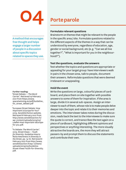A method that encourages free thought and helps engage a larger number of people in a discussion about specific topics related to spaces they use.

#### Further reading:

'Street Debate — The Word Carrier'. Retrieved 19 February 2021 from https://www. spacetwinning.eu/pdf/Guideline\_ for\_street\_debate.pdf

\* 'European Street Debate: How Important is Europe for You?' 2019. Sensibiliz'Action website. Retrieved 8 February 2021 from http://www.sensibilizaction.fr/ wp-content/uploads/2019/03/ Leaflet-How-important-isEuropefor-you.pdf.

\* 'To Debate: The Word Carrier'. 2019. Street Views — *Youth for Diversity. Guideline How to Raise Awareness in Diversity in the Street*, pp. 14-16. Retrieved 8 February 2021 from http://www. sensibilizaction.fr/wp-content/ uploads/2019/03/Guideline-Street-Views-Youth-for-Diversity. pdf.

### Porte parole

#### **Formulate relevant questions**

Brainstorm on themes that might be relevant to the people in the specific area / site. Formulate questions related to the different aspects of the themes in a way that can be understood by everyone, regardless of education, age, gender or social background, etc (e. g. "Can we all live together?", "What is important for you in the neighbourhood?").

#### **Test the questions, evaluate the answers**

Test whether the topics and questions are appropriate or appealing for your target group: have interviewers walk in pairs in the chosen area, talk to people, document their answers. Reformulate questions that were deemed irrelevant or unappealing.

#### **Hold the event**

Write the questions on large, colourful pieces of cardboard, and place them on site together with possible answers to some of them for inspiration. If the area is large, divide it in several sub-spaces. Assign an interviewer to each of them, whose role is to make people delve deeper into the topic and relate it to their memories and emotions. The interviewer takes notes during the discussion, reads back the text to the interviewee to make sure the quote is correct, and transcribes the text again on a piece of cardboard, highlighting different opinions and perspectives or anything interesting. The more visually attractive the boards are, the more they will attract passers-by and prompt them to discuss the statements and contribute their own.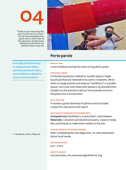

*"Thank you for respecting this place as if it was your home." One of many messages from passer-bys to other users of the square Dr. De Meersman, displayed in the frame of a Syncity Urban Living Lab.*



### Porte parole

A visually attractive way to make people reflect and discuss about topics and conditions related to urban transformation.

**Who is it for**

Local residents and all the users of a (public) space

#### **How does it work**

Formulate questions related to a public space / neighbourhood that are relevant to its users / residents. Write them on large boards and make an "exhibition" in a public space. Carry out interviews with passers-by and add their answers to the boards to attract more people and turn the place into a social event.

#### **Why, what for**

It reveals a great diversity of opinions and provides a space for everyone to be heard.

#### **Who can do it and what do you need for it**

Competences: facilitators, transcribers, interviewers Materials: coloured card boards and pens, ropes to hang the card boards to make them visible on the site

#### **At what phase in a planning process**

After completing the site diagnostic, to raise awareness about local issues

#### **Estimated budget**

€ 50 – € 100

#### **syncity Contact**

Ina Ivanceanu, ina.ivanceanu@oikodrom.org

► Handbook, Part II, Phase 2A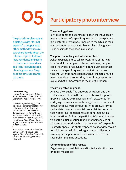

The photo interview opens a dialogue with "formal experts", as opposed to other methods where researchers decide about the relevant topics. It allows local residents and users to contribute their ideas and local knowledge to a planning process. They become active research partners.

#### Further reading:

Harper, Douglas. 2002. 'Talking About Pictures: a Case for Photo Elicitation'. *Visual Studies* 17(1). \*

Oevermann, Ulrich. 1993. 'Die objektive Hermeneutik als unverzichtbare methodologische Grundlage für die Analyse von Subjektivität'., in Jung, Thomas and Stefan Müller-Doohm (eds.), *Wirklichkeit im Deutungsprozess; Verhältnis Bild und Texte, Ergänzungen und Widersprüche*. Frankfurt: Suhrkamp.

\* Rose, Gilian. 2016. *Visual Methodologies: An Introduction to Researching with Visual Materials*, 4<sup>th</sup> edn. London: Sage Publications Ltd.

### Participatory photo interview

#### **The opening phase**

Invite residents and users to reflect on the influence or meaningfulness of a specific question or urban planning project for their own lives. Encourage them to use their own concepts, experiences, biographic or imaginary relationships to the space in question.

#### **The photo-shooting and interview phase**

Ask the participants to take photographs of the neighbourhood: for example, of places, buildings, people, social networks or local activities and businesses that relate to the specific question. Look at the photos together with the participants and ask them to provide narratives about the sites they have photographed and explain what is important and meaningful to them.

#### **The interpretation phase**

Analyse the visuals (the photographs taken) and the verbal empirical data (the interpretation of the photographs provided by the participants). Categories for codifying the visual material emerge from the empirical data of the field work conducted in the area. As for the verbal data, use various social research interpretation techniques (e. g. content analyses or hermeneutical interpretation). Follow the participants' conceptualization of the initial question that led to their choices of pictures. Look for the habits and concerns of the people related to space. The photographer's point of view reveals a social process within the larger context. All photos taken by participants can be seen as answers to the research or planning questions.

#### **Communication of the results**

Organise a photo exhibition and invite local authorities or policy makers too.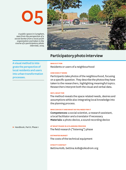*A public space in Cureghem, seen from the perspective of a social worker from a local youth organisation and taken in the course of a participatory photo interview, 2019.*



### Participatory photo interview

Residents or users of a neighbourhood

A visual method to integrate the perspective of local residents and users into urban transformation processes.

**How does it work**

Participants take photos of the neighbourhood, focusing on a specific question. They describe the photos they have taken to the researchers, highlighting meaningful topics. Researchers interpret both the visual and verbal data.

#### **Why, what for**

**Who is it for**

The method reveals the space related needs, desires and assumptions while also integrating local knowledge into the planning process.

#### **Who can do it and what do you need for it**

Competences: a social scientist, a research assistant, a local facilitator and a translator if necessary Materials: a photo device, a sound recording device

#### **At what phase in a planning process**

The field research ("listening") phase

#### **Estimated budget**

The costs of the technical equipment

#### **syncity Contact**

Bettina Kolb, bettina.kolb@oikodrom.org

► Handbook, PartII, Phase 1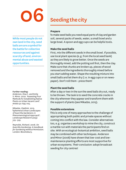

While most people do not own land in the city, seed balls are are a symbol for the battle for collective ressources and against scarcity of land, environmental abuse and wasted opportunities.

#### Further reading:

Anderson, Elsa C. and Emily S. Minor. 2020. 'Assessing Four Methods for Establishing Native Plants on Urban Vacant Land'. *Ambio* 50: 695-705.

\* Mikadze, Vladimir. 2015. 'Ephemeral Urban Landscapes of Guerrilla Gardeners: A Phenomenological Approach'. *Landscape Research* 40(5): 519 – 529.

\* Reynolds, Richard. 2008. *On Guerrilla Gardening: A Handbook for Gardening without Permission*. London: Bloomsbury.

## Seeding the city

#### **Prepare**

To make seed balls you need equal parts of clay and garden soil, several packs of seeds, water, a small bowl and a large bowl. A spoon and egg cups can be helpful tools.

#### **Make the seed balls**

First, mix the different seeds in the small bowl. If possible, use local plant species (e. g. from the local seed bank) as they are likely to grow better. Once the seeds are thoroughly mixed, add the potting soil first, then the clay. Make sure that chunks are broken up, pieces of wood removed and the ingredients thoroughly mixed before you start adding water. Shape the resulting mixture into small balls and let them dry (i. e. in egg cups or on newspaper). Don't roll them – press them!

#### **Plant the seed balls**

After a day or two in the sun the seed balls dry out, ready to be thrown. The task is to seed the concrete cracks in the city wherever they appear and transform them with the support of plants (see Mikadze, 2015).

#### **Possible extensions**

This is only one of many approaches to the challenge of appropriating both public and private spaces without coming into conflict with the law. Consider alternatives too, e. g. organise a workshop to mine the city, construct a marble run with materials the participants find on site. With an ecological-botanical ambition, seed balls may be combined with other techniques. Anderson and Minor (2008) have shown that low-cost and lowmaintenance planting efforts are most supportive for urban ecosystems. Their conclusion: adopt broadcast seeding for city centres!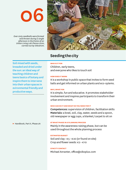*Over sixty seedballs were formed and thrown during a single afternoon in the frame of an Urban Living Lab Vienna 2020, carried out by Oikodrom.*



### Seeding the city

Soil mixed with seeds, kneaded and dried under the sun: an ideal way of teaching children and teens basics of botany and inspire them to intervene into their urban spaces in evironmental friendly and productive ways.

#### **Who is it for**

Children, early teens, and everyone who likes to touch soil

#### **How does it work**

It is a workshop in public space that invites to form seed balls and get informed on urban plants and eco-sytems.

#### **Why, what for**

It is simple, fun and educative. It promotes stakeholder involvement and inspires participants to transform their urban environment.

#### **Who can do it and what do you need for it**

Competences: supervision of children, facilitation skills Materials: a bowl, soil, clay, water, seeds and a spoon, old newspaper or egg cups, a blanket / carpet to sit on

#### **At what phase in a planning process**

Mainly in the awareness raising phase, but can be used throughout the whole planning process

#### **Estimated budget**

Soil and clay :  $€5 - €20$  (or found on site) Crop and flower seeds: € 2 – € 10

#### **SYNCITYContact**

Michael Anranter, office@oikoplus.com

► Handbook, Part II, Phase 2A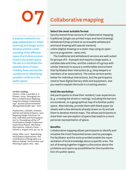

A popular method to engage stakeholders in urban planning and design and to develop a better understanding of the different types of activities encountered in the public space. The aim is to facilitate the spatialisation of users' mobility flows and set the conditions for identifying possible conflicts in the public space.

#### Further reading:

\*

Carton, Linda J. and Will A. H. Thissen. 2009. 'Emerging Conflict in Collaborative Mapping: Towards a Deeper Understanding?' *Journal of Environmental Management* 90(6): 1991 – 2001.

Huybrechts, Liesbeth, Dressen, Katrien and Selina Schepers. 2012. 'Mapping Design Practices: On Risk, Hybridity and Participation'. *PDC'12: Proceedings of the 12th Participatory Design Conference: Exploratory Papers, Workshop Descriptions, Industry Cases — Volume 2, August 2012*, pp. 29–32. \*

Kesby, Mike. 2007. 'Spatialising Participatory Approaches: The Contribution of Geography to a Mature Debate'. *Environment and Planning* A 39(12): 2813 – 2831.

## Collaborative mapping

#### **Select the most suitable format**

Syncity tested three versions of collaborative mapping: traditional (single use printed maps and hand drawing)

- whiteboard (map printed on an erasable whiteboard and hand drawing with special markers)
- online (digital drawing on a static map using an opensource programme - AWW APP).

The traditional and whiteboard versions are well suited for groups of 6 – 8 people and require a large space, a suitable date and time, and the creation of a group with similar interests to assure a comfortable environment that facilitates their interaction (e. g. shop keepers or members of an association). The online version works better for individual interactions, but the participants need to have digital literacy skills and equipment, and you need to explain the tools in a training session.

#### **Hold the workshop**

Ask participants to draw their resident / user experiences (e. g. crossing the street or resting), including the barriers encountered, on a geographical map of a familiar public space. Alternatively, provide them with blank paper (or sheets with a few elements already drawn on it) and ask them to develop mental maps. This allows participants to draw their own perception of space that leads to a more personal representation of space.

#### **Benefits**

Collaborative mapping allows participants to identify and visualise the most frequented areas used as passages. The facilitator and the tools provided enable the representation of local knowledge about a specific area. The act of drawing together triggers a discussion about the problems and opens up possibilities for the transformation of a public space.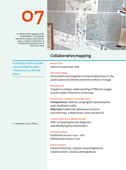

*A collaborative mapping with stakeholders in Cureghem represents usages of the public space, drawn in the frame of Syncity participatory action research, 2019.*



### Collaborative mapping

A method used for visually representing the users' trajectories in a defined space.

Participants work together to draw mobility flows in the public space and identify potential conflicts of usage.

Users of a particular area

#### **Why, what for**

**How does it work**

**Who is it for**

It leads to a deeper understanding of different usages and the needs of the local community.

#### **Who can do it and what do you need for it**

Competences: skills for using digital representation tools; facilitation skills Materials: traditional / whiteboard version: a printed map, a white board, pens and pencils

#### **At what phase in a planning process**

After completing the site diagnostic and identifying the stakeholders

#### **Estimated budget**

Traditional version: € 30 – € 80 Whiteboard version: € 150

#### **syncity Contact**

Cataline Sénéchal, cataline.senechal@ieb.be, Catalina Dobre, catalina.dobre@ulb.be

► Handbook, PartII, Phase 1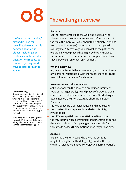

The "walking and talking" method is used for revealing the relationship between people and places, including perceptions, emotions, identification with space, performativity, usage and ways to appropriate the space.

#### Further reading:

Stals, Shenando, Smyth, Michael and Wijnand Ijsselsteijn. 2014. 'Walking & Talking: Probing the Urban Lived Experience Mobile'. *NordiCHI'14: Proceedings of the 8th Nordic Conference on Human-Computer Interaction: Fun, Fast, Foundational, October 2014*, pp. 737-746.

\* Kühl, Jana. 2016. 'Walking Interviews als Methode zur Erhebung alltäglicher Raumproduktionen'. *Europa Regional* 23(2): 35-48.

## The walking interview

#### **Prepare**

Let the interviewee guide the walk and decide on the places to visit. The more interviewees define the path of the walk, the more you learn about their intimate relations to space and the way(s) they use and co-own space in everday life. Alternatively, you can define the path of the walk and include places that might be barely known to the interviewees, to understand anchor points and how they perceive an unknown environment.

#### **Who to interview**

Anyone familiar with the environment, who does not have any personal relationship with the researcher and is able to walk longer distances (1 – 2 hours).

#### **How to carry out the interview**

Ask questions (on the basis of a predefined interview topic or more generally) to find places of personal significance for the interviewee within the area. Start at a quiet place. Record the interview, take photos and notes. Focus on:

- the way spaces are perceived, used and made useful
- the construction of spaces (boundaries, visibility, invisibilities)
- the different spatial practices attributed to groups
- the way interviewees communicate their emotions during the walk: Stals et al. (2014) suggest using a scale for participants to assess their emotions once they are on site.

#### **Analyse**

Transcribe the interview and analyse the content (e. g. following the methodology of grounded theory, a variant of discourse analysis or objective hermeneutics).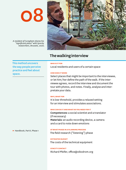*A resident of Cureghem shares his "significant place" with Syncity researchers, Brussels, 2020.*



### The walking interview

This method uncovers the way people perceive practice and feel about space.

Local residents and users of a certain space

#### **How does it work**

**Who is it for**

Select places that might be important to the interviewee, or let him / her define the path of the walk. If the interviewee agrees, record the interview and document the tour with photos, and notes. Finally, analyse and interpretate your data.

#### **Why, what for**

It is low-threshold, provides a relaxed setting for an interview and stimulates associations.

#### **Who can do it and what do you need for it**

Competences: a social scientist and a translator (if necessary) Materials: an audio recording device, a camera and a card to note down emotions

**At what phase in a planning process** The field research ("listening") phase

**Estimated budget** The costs of the technical equipment

**syncity Contact** Richard Pfeifer, office@oikodrom.org

► Handbook, PartII, Phase 1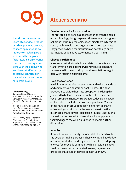# 09 Atelier scenario

A workshop involving end users of a service, product or urban planning project, to share opinions and collaborate on solving problems with the help of a facilitator. It is an effective tool for co-creating solutions with the people who are the most affected by an issue, regardless of their education and communication skills.

#### Further reading:

Sanders, Liz and Pieter J. Stappers. 2012. *Convivial Toolbox: Generative Research for the Front End of Design*. Amsterdam: BIS.

\* Slocum-Bradley, Nikki. 2003. *Participatory Methods Toolkit: A Practitioner's Manual*. Brussels: Fondation Roi Baudouin.

\* Street, Penny. 1997. 'Scenario Workshops: A Participatory Approach to Sustainable Urban Living?' *Futures* 29(2): 139-158.

#### **Develop scenarios for discussion**

The first step is to define a set of scenarios with the help of urban planning / design experts. These scenarios suggest solutions to future problems, describing them in terms of social, technological and organisational arrangements. They provide a basis for discussion on how things might be, instead of definitive statements (Street, 1997).

#### **Choose participants**

Make sure that all stakeholders related to a certain urban transformation project or service / product design are represented in the workshop. Local associations might help with recruiting participants.

#### **Hold the workshop**

Participants scrutinize the scenarios and write their ideas and comments on posters or post-it notes. The best practice is to divide them into groups. While doing this you need to balance the various interests of different social groups (citizens, entrepreneurs, decision-makers, etc) in order to include them on an equal basis. You can either have each group reflect on a different scenario or have all groups focus on the same scenario. In the latter case, make several discussion rounds, until all the scenarios are covered. At the end, each group presents their findings to the whole audience to enable further discussion.

#### **Benefits**

It provides an opportunity for local stakeholders to affect the decision-making process. Their views and knowledge are incorporated in the design process. It helps adapting choices for a specific community while providing innovative hunches on aspects related to everyday uses and practices that could otherwise remain unknown.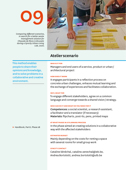# $\bf{O}$

*Comparing different scenarios, in search for a better waste management solution for Chausée de Mons in Brussels during a Syncity Urban Living Lab, 2020.*



### Atelier scenario

#### **Who is it for**

Managers and end users of a service, product or urban / architectural project

#### **How does it work**

It engages participants in a reflection process on concrete urban challenges, enhaces mutual learning and the exchange of experiences and facilitates collaboration.

#### **Why, what for**

To engage different stakeholders, agree on a common language and converge towards a shared vision / strategy.

#### **Who can do it and what do you need for it**

Competences: a social scientist, a research assistant, a facilitator and a translator (if necessary) Materials: flipcharts, post-its, pens, printed maps

#### **At what phase in a planning process**

In the phase aimed at creating solutions in a collaborative way with the affected stakeholders

#### **Estimated budget**

Mainly depending on the costs for renting a space with several rooms for small group work

#### **syncity Contact**

Cataline Sénéchal, cataline.senechal@ieb.be, Andrea Bortolotti, andrea.bortolotti@ulb.be

people to share their opinions and knowledge, and to solve problems in a collaborative and creative environment.

This method enables

► Handbook, Part II, Phase 2B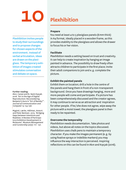Plexhibition invites people to study their surroundings and to propose changes for chosen aspects of the environment. Instead of verbal articulation, ideas are drawn on the plexiglass. The temporary exhibition of images created stimulates conversation and debate on space.

#### Further reading:

Akın, Canan and N. Sezin Kıpçak. 2016. 'Art in the Age of Digital Reproduction: Reconsidering Benjamn's Aura in "Art of Bansky"'. *Journal of Communication and Computer* 13: 153-158.

\* Mygind, Lærke, Hällman, Anne K. and Peter Bentsen. 2015. 'Bridging Gaps between Intentions and Realities: A Review of Participatory Exhibition Development in Museums'. *Museum Management and Curatorship* 30(2): 117– 137.

## Plexhibition

#### **Prepare**

You need at least 4 to 5 plexiglass panels (6 mm thick) in A4 format, ideally placed in a wooden frame, as this provides stability to the plexiglass and allows the drawer to focus his or her vision.

#### **Facilitate**

Plexhibition needs a setting based on trust and creativity. It can help to create inspiration by hanging an image painted in advance. The possibility to draw freely often attracts children to participate in the first place; invite their adult companions to join and e. g. complete the picture.

#### **Exhibit the painted panels**

Exhibit them on location; drill a hole in the centre of the panels and hang them in front of a non-transparent background. Once you have drawings hanging, more and more people will come and participate. If a picture has been comprehensively discussed and the creator agrees, it may continue to serve as an attraction and inspiration for other people. If he / she does not agree, wipe away the picture with a moist towel; the plexiglass panel is then ready to be repainted.

#### **Overcome the temporality**

Plexhibition needs documentation. Take photos and videos, but above all notes on the topics discussed. Plexhibition uses chalk pens to maintain a temporary character. If you make the images permanent (e. g. by using fixative sprays or indelible markers) you may influence the way interaction is perceived. Inspiring reflections on this can be found in Akın and Kıpçak (2016).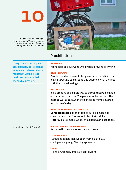*During Plexhibition testing in summer 2020 in Vienna, COVID-19 was the major topic drawn by many children and teenagers.*



### Plexhibition

#### **Who is it for**

Youngsters and everyone who prefers drawing to writing

#### **How does it work**

People use a transparent plexiglass panel, hold it in front of an interesting background and augment what they see with their own drawings.

#### **Why, what for**

It is a creative and simple way to express desired change or spatial associations. The panels can be re-used. The method works best when the cityscape may be altered (e. g. brownfields).

#### **Who can do it and what you need for it**

Competences: skills and tools to cut plexiglass and construct wooden frames for it; facilitator skills Materials: plexiglass, wood, chalk pens, a moist sponge

#### **At what phase in a planning process**

Best used in the awareness-raising phase

#### **Estimated budget**

Plexiglass panels incl. wooden frame: up to  $\epsilon$ 40 chalk pens: € 3 – € 5, Cleaning sponge: € 1

#### **Contact:**

Michael Anranter, office@oikoplus.com

glass panels, participants imagine an urban environment they would like to live in and express their wishes by drawing.

Using chalk pens on plexi-

► Handbook, Part II, Phase 2A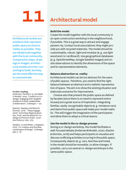# 11 Architectural model

Architectural models are artefacts that represent public space as close to reality as possible. They are ideally built together with the local community. Compared to maps, drawings or images, architectural models are time-consuming to build, but they are the most effective way to communicate.

#### Further reading:

Andersen, Pernille V. K. and Wafa S. Mosleh. 2020. 'Conflicts in Codesign: Engaging with Tangible Artefacts in Multi-stakeholder Collaboration'. *CoDesign*: 1 – 20.

\* Glackin, Stephen and Maria R. Dionisio. 2016. '"Deep engagement" and Urban Regeneration: Tea, Trust, and the Quest for Codesign at Precinct Scale'. *Land Use Policy* 52: 363 – 373.

\* Sanders, Liz and Pieter J. Stappers. 2018. 'Co-creation and the New Landscapes of Design'. *CoDesign*   $4(1): 5 - 18.$ 

#### **Build the model**

Create the model together with the local community in an open construction workshop in the neighbourhood, if possible. This is a great way to attract and engage passers-by. Contact local associations; they might provide you with recycled materials. The model should be customisable, robust, light and modular (e. g. use light wood and / or cardboard). Use geographical databases (e. g. OpenStreetMap, Google Satellite images) and onsite observations to identify the dimensions of the space and its representative elements.

#### **Balance abstraction vs. reality**

Architectural models can be too abstract for the users of public spaces. Therefore, you need to find the right balance between an abstract and a realistic representation of space. The aim is to show the existing situation and elaborate scenarios for improvement.

Cinema sets that present the public space as defined by facades (since there is no need to represent entire houses) are a great source of inspiration. Integrating familiar, easily-recognisable objects (e. g. miniature cars) and items from public space will make your model realistic. This will trigger the imagination of the participants and allow them to adopt a critical stance.

#### **Use the model in the co-design process**

During a co-design workshop, the model facilitates a well-focused debate (Andersen & Mosleh, 2020; Glackin  & Dionisio, 2016) and helps participants to visualise and discuss conflicting activities occurring in the public space. Consequently objects (e. g. cars, benches and trees) in the model should be moveable, to allow changes. If possible, carry out several co-design workshops in the same public space.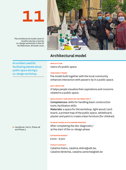*The architectural model used on location during a Syncity co-design workshop on Rue Dr De Meersman, Brussels 2020.*



### Architectural model

An artefact used for facilitating debate about public space during a co-design workshop.

Users of a public space

#### **How does it work**

**Who is it for**

The model built together with the local community enhances interaction with passers-by in a public space.

#### **Why, what for**

It helps people visualise their aspirations and concerns related to a public space.

#### **Who can do it and what do you need for it**

Competences: skills for handling basic construction tools; facilitation skills

Materials: a space for the workshop, light wood / cardboard, a printed map of the public space, whiteboard; plaster and paint to create urban furniture (for children)

#### **At what phase in a planning process**

After completing the site-diagnostic /  at the start of the co-design phase

#### **Estimated budget**

€ 200 – € 500

#### **Syncity Contact**

Catalina Dobre, catalina.dobre@ulb.be, Cataline Sénéchal, cataline.senechal@ieb.be

► Handbook, Part II, Phase 2B and Phase 3